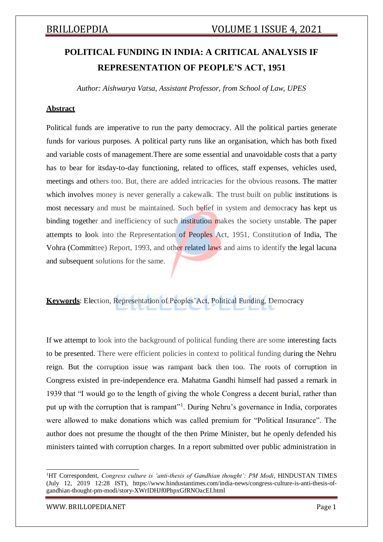# **POLITICAL FUNDING IN INDIA: A CRITICAL ANALYSIS IF REPRESENTATION OF PEOPLE'S ACT, 1951**

*Author: Aishwarya Vatsa, Assistant Professor, from School of Law, UPES*

### **Abstract**

Political funds are imperative to run the party democracy. All the political parties generate funds for various purposes. A political party runs like an organisation, which has both fixed and variable costs of management.There are some essential and unavoidable costs that a party has to bear for itsday-to-day functioning, related to offices, staff expenses, vehicles used, meetings and others too. But, there are added intricacies for the obvious reasons. The matter which involves money is never generally a cakewalk. The trust built on public institutions is most necessary and must be maintained. Such belief in system and democracy has kept us binding together and inefficiency of such institution makes the society unstable. The paper attempts to look into the Representation of Peoples Act, 1951, Constitution of India, The Vohra (Committee) Report, 1993, and other related laws and aims to identify the legal lacuna and subsequent solutions for the same.

**Keywords**: Election, Representation of Peoples'Act, Political Funding, Democracy

If we attempt to look into the background of political funding there are some interesting facts to be presented. There were efficient policies in context to political funding during the Nehru reign. But the corruption issue was rampant back then too. The roots of corruption in Congress existed in pre-independence era. Mahatma Gandhi himself had passed a remark in 1939 that "I would go to the length of giving the whole Congress a decent burial, rather than put up with the corruption that is rampant"<sup>1</sup>. During Nehru's governance in India, corporates were allowed to make donations which was called premium for "Political Insurance". The author does not presume the thought of the then Prime Minister, but he openly defended his ministers tainted with corruption charges. In a report submitted over public administration in

<sup>&</sup>lt;sup>1</sup>HT Correspondent, *Congress culture is 'anti-thesis of Gandhian thought': PM Modi*, HINDUSTAN TIMES (July 12, 2019 12:28 IST), https:/[/www.hindustantimes.com/india-news/congress-culture-is-anti-thesis-of](http://www.hindustantimes.com/india-news/congress-culture-is-anti-thesis-of-)gandhian-thought-pm-modi/story-XWrIDHJf0PhpxGfRNOacEI.html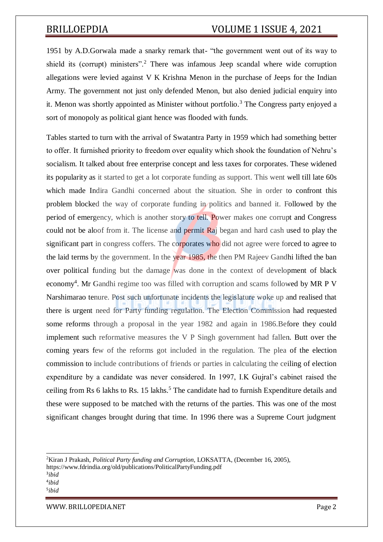1951 by A.D.Gorwala made a snarky remark that- "the government went out of its way to shield its (corrupt) ministers".<sup>2</sup> There was infamous Jeep scandal where wide corruption allegations were levied against V K Krishna Menon in the purchase of Jeeps for the Indian Army. The government not just only defended Menon, but also denied judicial enquiry into it. Menon was shortly appointed as Minister without portfolio.<sup>3</sup> The Congress party enjoyed a sort of monopoly as political giant hence was flooded with funds.

Tables started to turn with the arrival of Swatantra Party in 1959 which had something better to offer. It furnished priority to freedom over equality which shook the foundation of Nehru's socialism. It talked about free enterprise concept and less taxes for corporates. These widened its popularity as it started to get a lot corporate funding as support. This went well till late 60s which made Indira Gandhi concerned about the situation. She in order to confront this problem blocked the way of corporate funding in politics and banned it. Followed by the period of emergency, which is another story to tell. Power makes one corrupt and Congress could not be aloof from it. The license and permit Raj began and hard cash used to play the significant part in congress coffers. The corporates who did not agree were forced to agree to the laid terms by the government. In the year 1985, the then PM Rajeev Gandhi lifted the ban over political funding but the damage was done in the context of development of black economy<sup>4</sup>. Mr Gandhi regime too was filled with corruption and scams followed by MR P V Narshimarao tenure. Post such unfortunate incidents the legislature woke up and realised that there is urgent need for Party funding regulation. The Election Commission had requested some reforms through a proposal in the year 1982 and again in 1986.Before they could implement such reformative measures the V P Singh government had fallen. Butt over the coming years few of the reforms got included in the regulation. The plea of the election commission to include contributions of friends or parties in calculating the ceiling of election expenditure by a candidate was never considered. In 1997, I.K Gujral's cabinet raised the ceiling from Rs 6 lakhs to Rs. 15 lakhs.<sup>5</sup> The candidate had to furnish Expenditure details and these were supposed to be matched with the returns of the parties. This was one of the most significant changes brought during that time. In 1996 there was a Supreme Court judgment

5 *ibid*

<sup>2</sup>Kiran J Prakash, *Political Party funding and Corruption*, LOKSATTA, (December 16, 2005), https:/[/www.fdrindia.org/old/publications/PoliticalPartyFunding.pdf](http://www.fdrindia.org/old/publications/PoliticalPartyFunding.pdf)

<sup>3</sup> *ibid* 4 *ibid*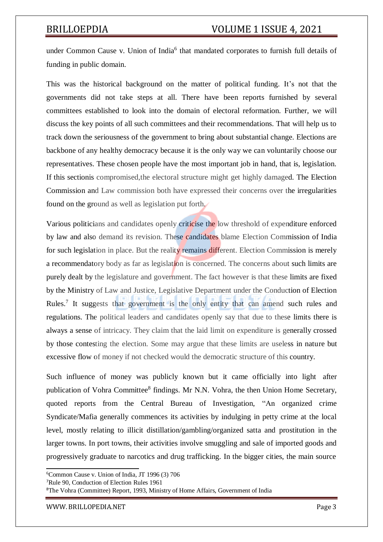under Common Cause v. Union of India<sup>6</sup> that mandated corporates to furnish full details of funding in public domain.

This was the historical background on the matter of political funding. It's not that the governments did not take steps at all. There have been reports furnished by several committees established to look into the domain of electoral reformation. Further, we will discuss the key points of all such committees and their recommendations. That will help us to track down the seriousness of the government to bring about substantial change. Elections are backbone of any healthy democracy because it is the only way we can voluntarily choose our representatives. These chosen people have the most important job in hand, that is, legislation. If this sectionis compromised,the electoral structure might get highly damaged. The Election Commission and Law commission both have expressed their concerns over the irregularities found on the ground as well as legislation put forth.

Various politicians and candidates openly criticise the low threshold of expenditure enforced by law and also demand its revision. These candidates blame Election Commission of India for such legislation in place. But the reality remains different. Election Commission is merely a recommendatory body as far as legislation is concerned. The concerns about such limits are purely dealt by the legislature and government. The fact however is that these limits are fixed by the Ministry of Law and Justice, Legislative Department under the Conduction of Election Rules.<sup>7</sup> It suggests that government is the only entity that can amend such rules and regulations. The political leaders and candidates openly say that due to these limits there is always a sense of intricacy. They claim that the laid limit on expenditure is generally crossed by those contesting the election. Some may argue that these limits are useless in nature but excessive flow of money if not checked would the democratic structure of this country.

Such influence of money was publicly known but it came officially into light after publication of Vohra Committee<sup>8</sup> findings. Mr N.N. Vohra, the then Union Home Secretary, quoted reports from the Central Bureau of Investigation, "An organized crime Syndicate/Mafia generally commences its activities by indulging in petty crime at the local level, mostly relating to illicit distillation/gambling/organized satta and prostitution in the larger towns. In port towns, their activities involve smuggling and sale of imported goods and progressively graduate to narcotics and drug trafficking. In the bigger cities, the main source

<sup>8</sup>The Vohra (Committee) Report, 1993, Ministry of Home Affairs, Government of India

<sup>6</sup>Common Cause v. Union of India*,* JT 1996 (3) 706

<sup>7</sup>Rule 90, Conduction of Election Rules 1961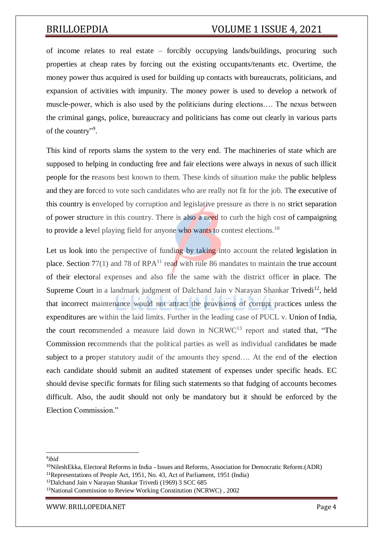of income relates to real estate – forcibly occupying lands/buildings, procuring such properties at cheap rates by forcing out the existing occupants/tenants etc. Overtime, the money power thus acquired is used for building up contacts with bureaucrats, politicians, and expansion of activities with impunity. The money power is used to develop a network of muscle-power, which is also used by the politicians during elections…. The nexus between the criminal gangs, police, bureaucracy and politicians has come out clearly in various parts of the country".

This kind of reports slams the system to the very end. The machineries of state which are supposed to helping in conducting free and fair elections were always in nexus of such illicit people for the reasons best known to them. These kinds of situation make the public helpless and they are forced to vote such candidates who are really not fit for the job. The executive of this country is enveloped by corruption and legislative pressure as there is no strict separation of power structure in this country. There is also a need to curb the high cost of campaigning to provide a level playing field for anyone who wants to contest elections.<sup>10</sup>

Let us look into the perspective of funding by taking into account the related legislation in place. Section  $77(1)$  and 78 of RPA<sup>11</sup> read with rule 86 mandates to maintain the true account of their electoral expenses and also file the same with the district officer in place. The Supreme Court in a landmark judgment of Dalchand Jain v Narayan Shankar Trivedi<sup>12</sup>, held that incorrect maintenance would not attract the provisions of corrupt practices unless the expenditures are within the laid limits. Further in the leading case of PUCL v. Union of India, the court recommended a measure laid down in NCRWC<sup>13</sup> report and stated that, "The Commission recommends that the political parties as well as individual candidates be made subject to a proper statutory audit of the amounts they spend…. At the end of the election each candidate should submit an audited statement of expenses under specific heads. EC should devise specific formats for filing such statements so that fudging of accounts becomes difficult. Also, the audit should not only be mandatory but it should be enforced by the Election Commission."

<sup>9</sup> *ibid*

<sup>10</sup>NileshEkka, Electoral Reforms in India - Issues and Reforms, Association for Democratic Reform.(ADR)

<sup>11</sup>Representations of People Act, 1951, No. 43, Act of Parliament, 1951 (India)

<sup>12</sup>Dalchand Jain v Narayan Shankar Trivedi (1969) 3 SCC 685

<sup>13</sup>National Commission to Review Working Constitution (NCRWC) , 2002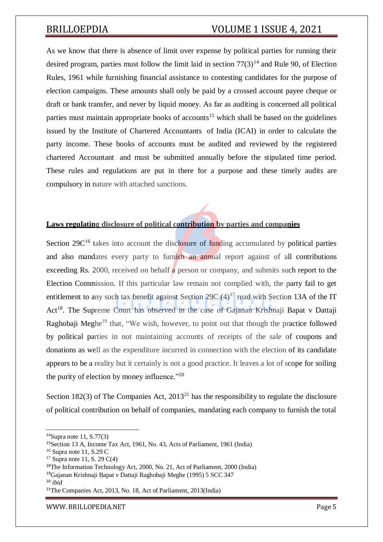As we know that there is absence of limit over expense by political parties for running their desired program, parties must follow the limit laid in section  $77(3)^{14}$  and Rule 90, of Election Rules, 1961 while furnishing financial assistance to contesting candidates for the purpose of election campaigns. These amounts shall only be paid by a crossed account payee cheque or draft or bank transfer, and never by liquid money. As far as auditing is concerned all political parties must maintain appropriate books of accounts<sup>15</sup> which shall be based on the guidelines issued by the Institute of Chartered Accountants of India (ICAI) in order to calculate the party income. These books of accounts must be audited and reviewed by the registered chartered Accountant and must be submitted annually before the stipulated time period. These rules and regulations are put in there for a purpose and these timely audits are compulsory in nature with attached sanctions.

### **Laws regulating disclosure of political contribution by parties and companies**

Section  $29C^{16}$  takes into account the disclosure of funding accumulated by political parties and also mandates every party to furnish an annual report against of all contributions exceeding Rs. 2000, received on behalf a person or company, and submits such report to the Election Commission. If this particular law remain not complied with, the party fail to get entitlement to any such tax benefit against Section 29C  $(4)^{17}$  read with Section 13A of the IT Act<sup>18</sup>. The Supreme Court has observed in the case of Gajanan Krishnaji Bapat v Dattaji Raghobaji Meghe<sup>19</sup> that, "We wish, however, to point out that though the practice followed by political parties in not maintaining accounts of receipts of the sale of coupons and donations as well as the expenditure incurred in connection with the election of its candidate appears to be a reality but it certainly is not a good practice. It leaves a lot of scope for soiling the purity of election by money influence."<sup>20</sup>

Section 182(3) of The Companies Act,  $2013^{21}$  has the responsibility to regulate the disclosure of political contribution on behalf of companies, mandating each company to furnish the total

 $14$ Supra note 11, S.77(3)

<sup>15</sup>Section 13 A, Income Tax Act, 1961, No. 43, Acts of Parliament, 1961 (India)

 $16$  Supra note 11, S.29 C

 $17$  Supra note 11, S. 29 C(4)

<sup>18</sup>The Information Technology Act, 2000, No. 21, Act of Parliament, 2000 (India)

<sup>19</sup>Gajanan Krishnaji Bapat v Dattaji Raghobaji Meghe (1995) 5 SCC 347

<sup>20</sup> *ibid*

<sup>21</sup>The Companies Act, 2013, No. 18, Act of Parliament, 2013(India)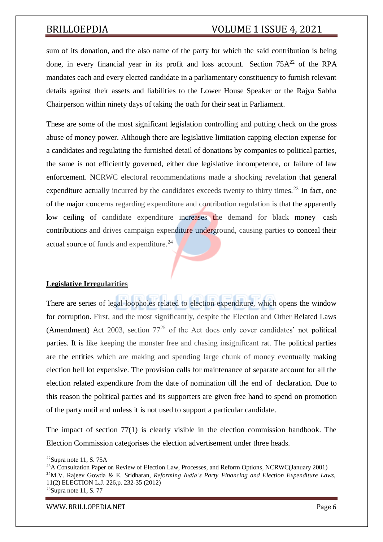sum of its donation, and the also name of the party for which the said contribution is being done, in every financial year in its profit and loss account. Section  $75A^{22}$  of the RPA mandates each and every elected candidate in a parliamentary constituency to furnish relevant details against their assets and liabilities to the Lower House Speaker or the Rajya Sabha Chairperson within ninety days of taking the oath for their seat in Parliament.

These are some of the most significant legislation controlling and putting check on the gross abuse of money power. Although there are legislative limitation capping election expense for a candidates and regulating the furnished detail of donations by companies to political parties, the same is not efficiently governed, either due legislative incompetence, or failure of law enforcement. NCRWC electoral recommendations made a shocking revelation that general expenditure actually incurred by the candidates exceeds twenty to thirty times.<sup>23</sup> In fact, one of the major concerns regarding expenditure and contribution regulation is that the apparently low ceiling of candidate expenditure increases the demand for black money cash contributions and drives campaign expenditure underground, causing parties to conceal their actual source of funds and expenditure.<sup>24</sup>

### **Legislative Irregularities**

There are series of legal loopholes related to election expenditure, which opens the window for corruption. First, and the most significantly, despite the Election and Other Related Laws (Amendment) Act 2003, section  $77^{25}$  of the Act does only cover candidates' not political parties. It is like keeping the monster free and chasing insignificant rat. The political parties are the entities which are making and spending large chunk of money eventually making election hell lot expensive. The provision calls for maintenance of separate account for all the election related expenditure from the date of nomination till the end of declaration. Due to this reason the political parties and its supporters are given free hand to spend on promotion of the party until and unless it is not used to support a particular candidate.

The impact of section 77(1) is clearly visible in the election commission handbook. The Election Commission categorises the election advertisement under three heads.

 $22$ Supra note 11, S. 75A

<sup>&</sup>lt;sup>23</sup>A Consultation Paper on Review of Election Law, Processes, and Reform Options, NCRWC(January 2001) <sup>24</sup>M.V. Rajeev Gowda & E. Sridharan, *Reforming India's Party Financing and Election Expenditure Laws*, 11(2) ELECTION L.J. 226,p. 232-35 (2012)  $25$ Supra note 11, S. 77

[WWW.](http://www/) BRILLOPEDIA.NET Page 6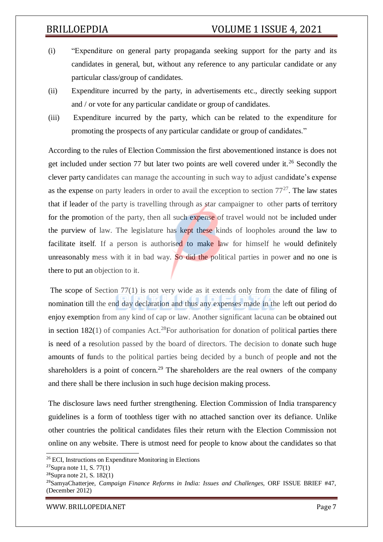- (i) "Expenditure on general party propaganda seeking support for the party and its candidates in general, but, without any reference to any particular candidate or any particular class/group of candidates.
- (ii) Expenditure incurred by the party, in advertisements etc., directly seeking support and / or vote for any particular candidate or group of candidates.
- (iii) Expenditure incurred by the party, which can be related to the expenditure for promoting the prospects of any particular candidate or group of candidates."

According to the rules of Election Commission the first abovementioned instance is does not get included under section 77 but later two points are well covered under it.<sup>26</sup> Secondly the clever party candidates can manage the accounting in such way to adjust candidate's expense as the expense on party leaders in order to avail the exception to section  $77<sup>27</sup>$ . The law states that if leader of the party is travelling through as star campaigner to other parts of territory for the promotion of the party, then all such expense of travel would not be included under the purview of law. The legislature has kept these kinds of loopholes around the law to facilitate itself. If a person is authorised to make law for himself he would definitely unreasonably mess with it in bad way. So did the political parties in power and no one is there to put an objection to it.

The scope of Section 77(1) is not very wide as it extends only from the date of filing of nomination till the end day declaration and thus any expenses made in the left out period do enjoy exemption from any kind of cap or law. Another significant lacuna can be obtained out in section  $182(1)$  of companies Act.<sup>28</sup>For authorisation for donation of political parties there is need of a resolution passed by the board of directors. The decision to donate such huge amounts of funds to the political parties being decided by a bunch of people and not the shareholders is a point of concern.<sup>29</sup> The shareholders are the real owners of the company and there shall be there inclusion in such huge decision making process.

The disclosure laws need further strengthening. Election Commission of India transparency guidelines is a form of toothless tiger with no attached sanction over its defiance. Unlike other countries the political candidates files their return with the Election Commission not online on any website. There is utmost need for people to know about the candidates so that

<sup>26</sup> ECI, Instructions on Expenditure Monitoring in Elections

 $27$ Supra note 11, S. 77(1)

 $28$ Supra note 21, S. 182(1)

<sup>29</sup>SamyaChatterjee, *Campaign Finance Reforms in India: Issues and Challenges*, ORF ISSUE BRIEF #47, (December 2012)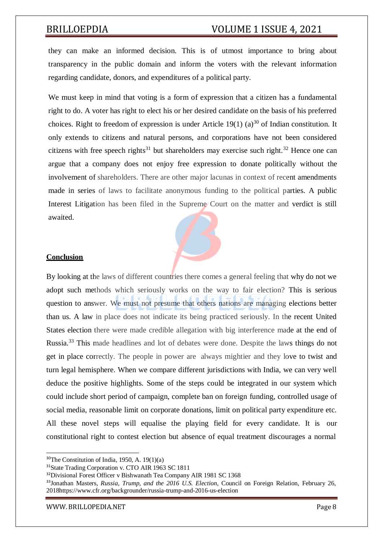they can make an informed decision. This is of utmost importance to bring about transparency in the public domain and inform the voters with the relevant information regarding candidate, donors, and expenditures of a political party.

We must keep in mind that voting is a form of expression that a citizen has a fundamental right to do. A voter has right to elect his or her desired candidate on the basis of his preferred choices. Right to freedom of expression is under Article 19(1) (a)<sup>30</sup> of Indian constitution. It only extends to citizens and natural persons, and corporations have not been considered citizens with free speech rights<sup>31</sup> but shareholders may exercise such right.<sup>32</sup> Hence one can argue that a company does not enjoy free expression to donate politically without the involvement of shareholders. There are other major lacunas in context of recent amendments made in series of laws to facilitate anonymous funding to the political parties. A public Interest Litigation has been filed in the Supreme Court on the matter and verdict is still awaited.



### **Conclusion**

By looking at the laws of different countries there comes a general feeling that why do not we adopt such methods which seriously works on the way to fair election? This is serious question to answer. We must not presume that others nations are managing elections better than us. A law in place does not indicate its being practiced seriously. In the recent United States election there were made credible allegation with big interference made at the end of Russia.<sup>33</sup> This made headlines and lot of debates were done. Despite the laws things do not get in place correctly. The people in power are always mightier and they love to twist and turn legal hemisphere. When we compare different jurisdictions with India, we can very well deduce the positive highlights. Some of the steps could be integrated in our system which could include short period of campaign, complete ban on foreign funding, controlled usage of social media, reasonable limit on corporate donations, limit on political party expenditure etc. All these novel steps will equalise the playing field for every candidate. It is our constitutional right to contest election but absence of equal treatment discourages a normal

 $30$ The Constitution of India, 1950, A. 19(1)(a)

<sup>31</sup>State Trading Corporation v. CTO AIR 1963 SC 1811

<sup>&</sup>lt;sup>32</sup>Divisional Forest Officer v Bishwanath Tea Company AIR 1981 SC 1368

<sup>33</sup>Jonathan Masters, *Russia, Trump, and the 2016 U.S. Election*, Council on Foreign Relation, February 26, 2018https:/[/www.cfr.org/backgrounder/russia-trump-and-2016-us-election](http://www.cfr.org/backgrounder/russia-trump-and-2016-us-election)